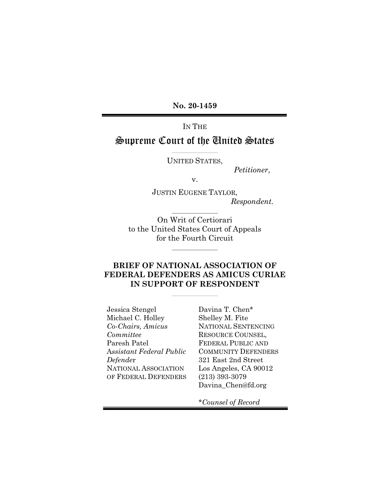**No. 20-1459**

# IN THE Supreme Court of the United States

UNITED STATES,

*Petitioner*,

v.

JUSTIN EUGENE TAYLOR, *Respondent.*

On Writ of Certiorari to the United States Court of Appeals for the Fourth Circuit

# **BRIEF OF NATIONAL ASSOCIATION OF FEDERAL DEFENDERS AS AMICUS CURIAE IN SUPPORT OF RESPONDENT**

Jessica Stengel Michael C. Holley *Co-Chairs, Amicus Committee* Paresh Patel A*ssistant Federal Public Defende*r NATIONAL ASSOCIATION OF FEDERAL DEFENDERS Davina T. Chen\* Shelley M. Fite NATIONAL SENTENCING RESOURCE COUNSEL, FEDERAL PUBLIC AND COMMUNITY DEFENDERS 321 East 2nd Street Los Angeles, CA 90012 (213) 393-3079 Davina\_Chen@fd.org

\**Counsel of Record*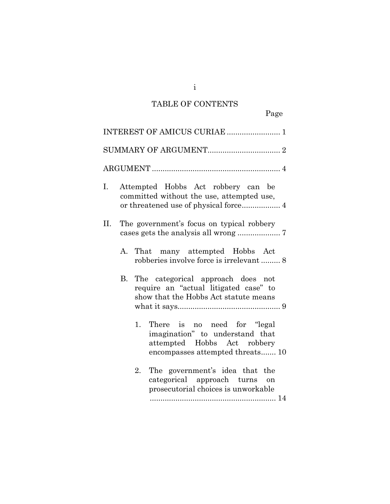# TABLE OF CONTENTS

Page

|    |                                                                                 | INTEREST OF AMICUS CURIAE  1                                                                                                             |  |  |
|----|---------------------------------------------------------------------------------|------------------------------------------------------------------------------------------------------------------------------------------|--|--|
|    |                                                                                 |                                                                                                                                          |  |  |
|    |                                                                                 |                                                                                                                                          |  |  |
| Ι. | Attempted Hobbs Act robbery can be<br>committed without the use, attempted use, |                                                                                                                                          |  |  |
| П. |                                                                                 | The government's focus on typical robbery                                                                                                |  |  |
|    | А.                                                                              | That many attempted Hobbs Act<br>robberies involve force is irrelevant  8                                                                |  |  |
|    | B.                                                                              | The categorical approach does not<br>require an "actual litigated case" to<br>show that the Hobbs Act statute means                      |  |  |
|    |                                                                                 | There is no need for "legal"<br>1.<br>imagination" to understand that<br>attempted Hobbs Act robbery<br>encompasses attempted threats 10 |  |  |
|    |                                                                                 | The government's idea that the<br>2.<br>categorical approach turns on<br>prosecutorial choices is unworkable                             |  |  |

i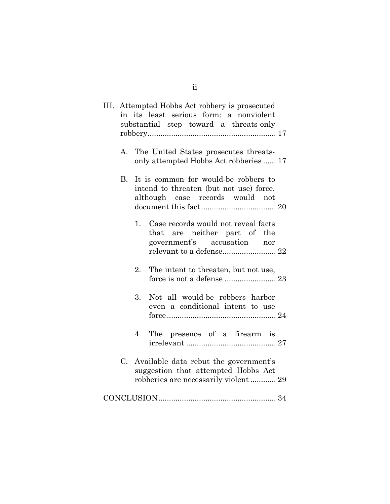|    | III. Attempted Hobbs Act robbery is prosecuted<br>in its least serious form: a nonviolent<br>substantial step toward a threats-only |
|----|-------------------------------------------------------------------------------------------------------------------------------------|
|    | A. The United States prosecutes threats-<br>only attempted Hobbs Act robberies  17                                                  |
| B. | It is common for would-be robbers to<br>intend to threaten (but not use) force,<br>although case records would not                  |
|    | 1. Case records would not reveal facts<br>that are neither part of the<br>government's accusation nor<br>relevant to a defense 22   |
|    | 2.<br>The intent to threaten, but not use,<br>force is not a defense  23                                                            |
|    | Not all would-be robbers harbor<br>3.<br>even a conditional intent to use                                                           |
|    | The presence of a firearm is<br>4.                                                                                                  |
|    | C. Available data rebut the government's<br>suggestion that attempted Hobbs Act<br>robberies are necessarily violent  29            |
|    |                                                                                                                                     |

ii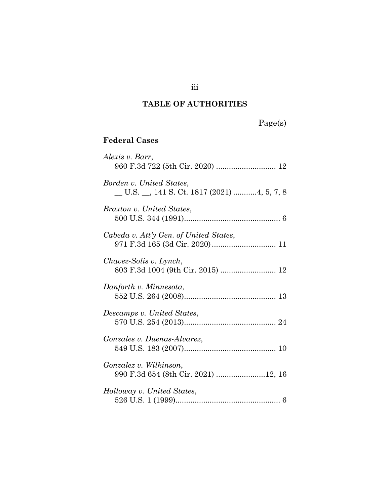# **TABLE OF AUTHORITIES**

Page(s)

# **Federal Cases**

| Alexis v. Barr,                                                                |
|--------------------------------------------------------------------------------|
| Borden v. United States,<br>$\_$ U.S. $\_$ , 141 S. Ct. 1817 (2021) 4, 5, 7, 8 |
| Braxton v. United States,                                                      |
| Cabeda v. Att'y Gen. of United States,                                         |
| Chavez-Solis v. Lynch,<br>803 F.3d 1004 (9th Cir. 2015)  12                    |
| Danforth v. Minnesota,                                                         |
| Descamps v. United States,                                                     |
| Gonzales v. Duenas-Alvarez,                                                    |
| Gonzalez v. Wilkinson,<br>990 F.3d 654 (8th Cir. 2021) 12, 16                  |
| Holloway v. United States,                                                     |

iii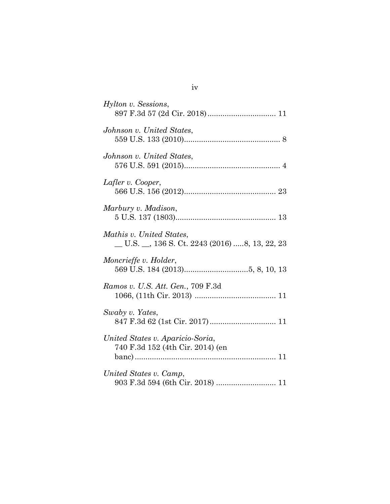| Hylton v. Sessions,                                                               |
|-----------------------------------------------------------------------------------|
| Johnson v. United States,                                                         |
| Johnson v. United States,                                                         |
| Lafler v. Cooper,                                                                 |
| Marbury v. Madison,                                                               |
| Mathis v. United States,<br>$\_$ U.S. $\_$ , 136 S. Ct. 2243 (2016) 8, 13, 22, 23 |
| Moncrieffe v. Holder,                                                             |
| Ramos v. U.S. Att. Gen., 709 F.3d                                                 |
| Swaby v. Yates,                                                                   |
| United States v. Aparicio-Soria,<br>740 F.3d 152 (4th Cir. 2014) (en              |
| United States v. Camp,<br>903 F.3d 594 (6th Cir. 2018)  11                        |

# iv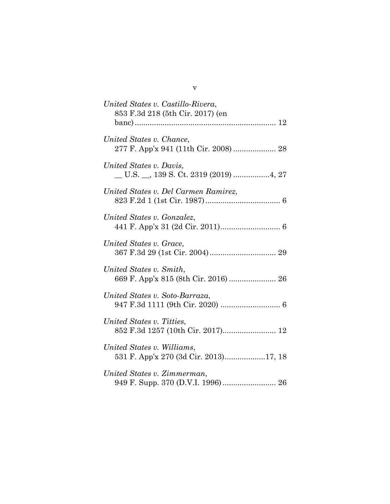| United States v. Castillo-Rivera,<br>853 F.3d 218 (5th Cir. 2017) (en |
|-----------------------------------------------------------------------|
| United States v. Chance,                                              |
| United States v. Davis,<br>U.S. _, 139 S. Ct. 2319 (2019) 4, 27       |
| United States v. Del Carmen Ramirez,                                  |
| United States v. Gonzalez,                                            |
| United States v. Grace,                                               |
| United States v. Smith,<br>669 F. App'x 815 (8th Cir. 2016)  26       |
| United States v. Soto-Barraza,                                        |
| United States v. Titties,<br>852 F.3d 1257 (10th Cir. 2017) 12        |
| United States v. Williams,<br>531 F. App'x 270 (3d Cir. 2013)17, 18   |
| United States v. Zimmerman,                                           |

v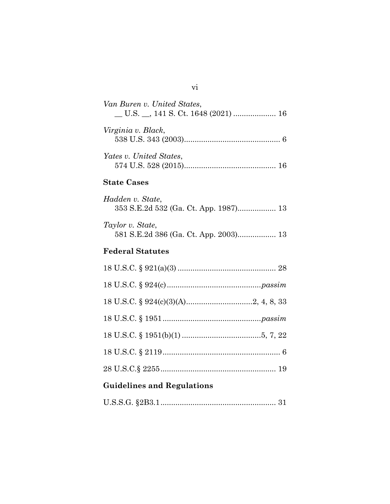U.S.S.G. §2B3.1...................................................... [31](#page-39-0)

vi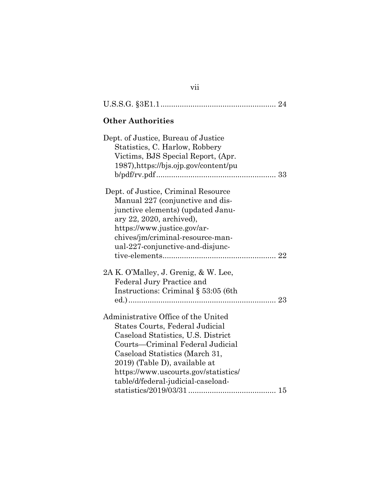| <b>Other Authorities</b>                                                                                                                                                                                                                                                                          |  |  |  |  |
|---------------------------------------------------------------------------------------------------------------------------------------------------------------------------------------------------------------------------------------------------------------------------------------------------|--|--|--|--|
| Dept. of Justice, Bureau of Justice<br>Statistics, C. Harlow, Robbery<br>Victims, BJS Special Report, (Apr.<br>1987), https://bjs.ojp.gov/content/pu                                                                                                                                              |  |  |  |  |
| Dept. of Justice, Criminal Resource<br>Manual 227 (conjunctive and dis-<br>junctive elements) (updated Janu-<br>ary 22, 2020, archived),<br>https://www.justice.gov/ar-<br>chives/jm/criminal-resource-man-<br>ual-227-conjunctive-and-disjunc-                                                   |  |  |  |  |
| 2A K. O'Malley, J. Grenig, & W. Lee,<br><b>Federal Jury Practice and</b><br>Instructions: Criminal $\S$ 53:05 (6th                                                                                                                                                                                |  |  |  |  |
| Administrative Office of the United<br>States Courts, Federal Judicial<br>Caseload Statistics, U.S. District<br>Courts—Criminal Federal Judicial<br>Caseload Statistics (March 31,<br>2019) (Table D), available at<br>https://www.uscourts.gov/statistics/<br>table/d/federal-judicial-caseload- |  |  |  |  |

vii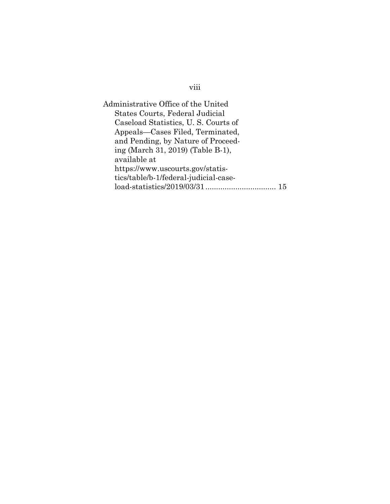viii

Administrative Office of the United States Courts, Federal Judicial Caseload Statistics, U. S. Courts of Appeals—Cases Filed, Terminated, and Pending, by Nature of Proceeding (March 31, 2019) (Table B-1), available at https://www.uscourts.gov/statistics/table/b-1/federal-judicial-caseload-statistics/2019/03/31................................. [15](#page-23-1)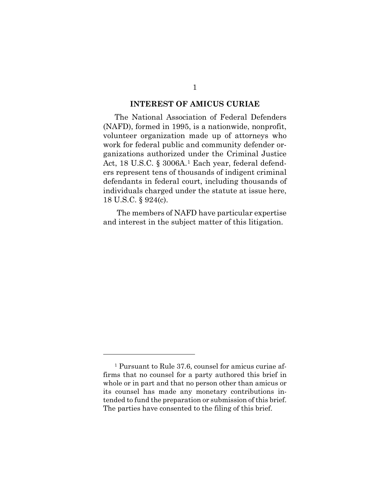#### **INTEREST OF AMICUS CURIAE**

The National Association of Federal Defenders (NAFD), formed in 1995, is a nationwide, nonprofit, volunteer organization made up of attorneys who work for federal public and community defender organizations authorized under the Criminal Justice Act, 18 U.S.C. § 3006A.[1](#page-9-1) Each year, federal defenders represent tens of thousands of indigent criminal defendants in federal court, including thousands of individuals charged under the statute at issue here, 18 U.S.C. § 924(c).

<span id="page-9-0"></span>The members of NAFD have particular expertise and interest in the subject matter of this litigation.

<span id="page-9-1"></span><sup>1</sup> Pursuant to Rule 37.6, counsel for amicus curiae affirms that no counsel for a party authored this brief in whole or in part and that no person other than amicus or its counsel has made any monetary contributions intended to fund the preparation or submission of this brief. The parties have consented to the filing of this brief.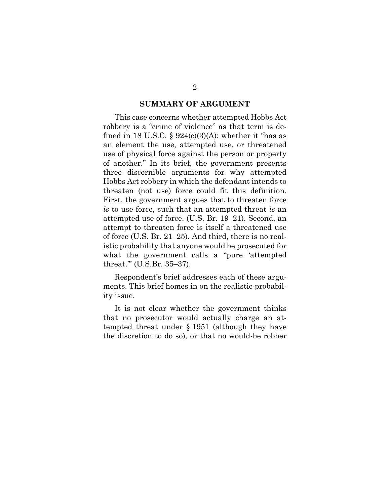#### <span id="page-10-0"></span>**SUMMARY OF ARGUMENT**

This case concerns whether attempted Hobbs Act robbery is a "crime of violence" as that term is defined in 18 U.S.C. §  $924(c)(3)(A)$ : whether it "has as an element the use, attempted use, or threatened use of physical force against the person or property of another." In its brief, the government presents three discernible arguments for why attempted Hobbs Act robbery in which the defendant intends to threaten (not use) force could fit this definition. First, the government argues that to threaten force *is* to use force, such that an attempted threat *is* an attempted use of force. (U.S. Br. 19–21). Second, an attempt to threaten force is itself a threatened use of force (U.S. Br. 21–25). And third, there is no realistic probability that anyone would be prosecuted for what the government calls a "pure 'attempted threat.'" (U.S.Br. 35–37).

Respondent's brief addresses each of these arguments. This brief homes in on the realistic-probability issue.

<span id="page-10-1"></span>It is not clear whether the government thinks that no prosecutor would actually charge an attempted threat under § 1951 (although they have the discretion to do so), or that no would-be robber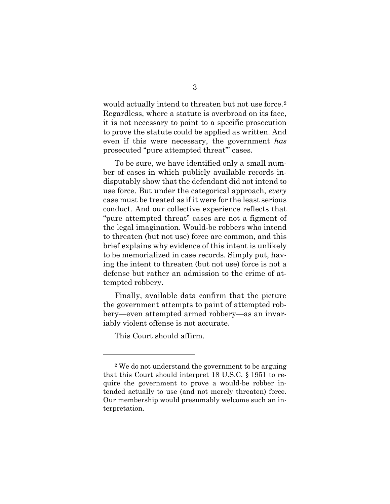would actually intend to threaten but not use force.<sup>[2](#page-11-0)</sup> Regardless, where a statute is overbroad on its face, it is not necessary to point to a specific prosecution to prove the statute could be applied as written. And even if this were necessary, the government *has*  prosecuted "pure attempted threat'" cases.

To be sure, we have identified only a small number of cases in which publicly available records indisputably show that the defendant did not intend to use force. But under the categorical approach, *every* case must be treated as if it were for the least serious conduct. And our collective experience reflects that "pure attempted threat" cases are not a figment of the legal imagination. Would-be robbers who intend to threaten (but not use) force are common, and this brief explains why evidence of this intent is unlikely to be memorialized in case records. Simply put, having the intent to threaten (but not use) force is not a defense but rather an admission to the crime of attempted robbery.

Finally, available data confirm that the picture the government attempts to paint of attempted robbery—even attempted armed robbery—as an invariably violent offense is not accurate.

This Court should affirm.

<span id="page-11-0"></span><sup>2</sup> We do not understand the government to be arguing that this Court should interpret 18 U.S.C. § 1951 to require the government to prove a would-be robber intended actually to use (and not merely threaten) force. Our membership would presumably welcome such an interpretation.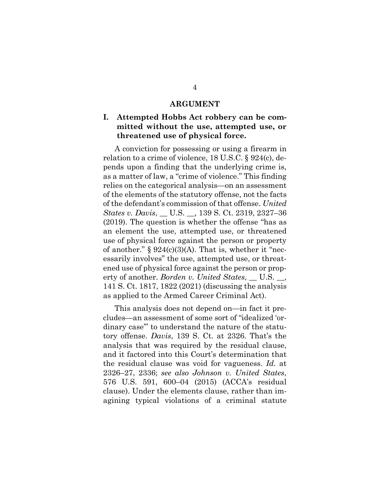#### <span id="page-12-2"></span>**ARGUMENT**

# **I. Attempted Hobbs Act robbery can be committed without the use, attempted use, or threatened use of physical force.**

A conviction for possessing or using a firearm in relation to a crime of violence, 18 U.S.C. § 924(c), depends upon a finding that the underlying crime is, as a matter of law, a "crime of violence." This finding relies on the categorical analysis—on an assessment of the elements of the statutory offense, not the facts of the defendant's commission of that offense. *United States v. Davis*, \_\_ U.S. \_\_, 139 S. Ct. 2319, 2327–36 (2019). The question is whether the offense "has as an element the use, attempted use, or threatened use of physical force against the person or property of another."  $\S 924(c)(3)(A)$ . That is, whether it "necessarily involves" the use, attempted use, or threatened use of physical force against the person or property of another. *Borden v. United States*, \_\_ U.S. \_\_, 141 S. Ct. 1817, 1822 (2021) (discussing the analysis as applied to the Armed Career Criminal Act).

<span id="page-12-3"></span><span id="page-12-1"></span><span id="page-12-0"></span>This analysis does not depend on—in fact it precludes—an assessment of some sort of "idealized 'ordinary case'" to understand the nature of the statutory offense. *Davis*, 139 S. Ct. at 2326. That's the analysis that was required by the residual clause, and it factored into this Court's determination that the residual clause was void for vagueness. *Id.* at 2326–27, 2336; *see also Johnson v. United States*, 576 U.S. 591, 600–04 (2015) (ACCA's residual clause). Under the elements clause, rather than imagining typical violations of a criminal statute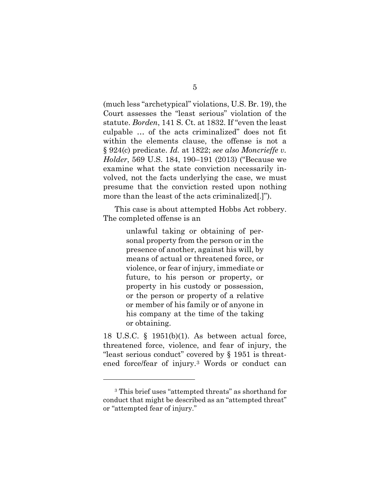<span id="page-13-0"></span>(much less "archetypical" violations, U.S. Br. 19), the Court assesses the "least serious" violation of the statute. *Borden*, 141 S. Ct. at 1832. If "even the least culpable … of the acts criminalized" does not fit within the elements clause, the offense is not a § 924(c) predicate. *Id.* at 1822; *see also Moncrieffe v. Holder*, 569 U.S. 184, 190–191 (2013) ("Because we examine what the state conviction necessarily involved, not the facts underlying the case, we must presume that the conviction rested upon nothing more than the least of the acts criminalized[.]").

This case is about attempted Hobbs Act robbery. The completed offense is an

> <span id="page-13-1"></span>unlawful taking or obtaining of personal property from the person or in the presence of another, against his will, by means of actual or threatened force, or violence, or fear of injury, immediate or future, to his person or property, or property in his custody or possession, or the person or property of a relative or member of his family or of anyone in his company at the time of the taking or obtaining.

<span id="page-13-2"></span>18 U.S.C. § 1951(b)(1). As between actual force, threatened force, violence, and fear of injury, the "least serious conduct" covered by § 1951 is threatened force/fear of injury.[3](#page-13-3) Words or conduct can

<span id="page-13-3"></span><sup>3</sup> This brief uses "attempted threats" as shorthand for conduct that might be described as an "attempted threat" or "attempted fear of injury."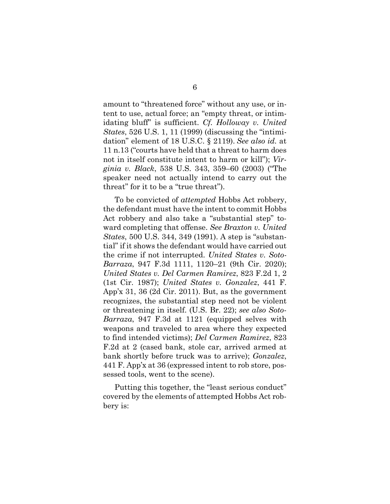<span id="page-14-6"></span><span id="page-14-1"></span>amount to "threatened force" without any use, or intent to use, actual force; an "empty threat, or intimidating bluff" is sufficient. *Cf. Holloway v. United States*, 526 U.S. 1, 11 (1999) (discussing the "intimidation" element of 18 U.S.C. § 2119). *See also id.* at 11 n.13 ("courts have held that a threat to harm does not in itself constitute intent to harm or kill"); *Virginia v. Black*, 538 U.S. 343, 359–60 (2003) ("The speaker need not actually intend to carry out the threat" for it to be a "true threat").

<span id="page-14-5"></span><span id="page-14-4"></span><span id="page-14-3"></span><span id="page-14-2"></span><span id="page-14-0"></span>To be convicted of *attempted* Hobbs Act robbery, the defendant must have the intent to commit Hobbs Act robbery and also take a "substantial step" toward completing that offense. *See Braxton v. United States*, 500 U.S. 344, 349 (1991). A step is "substantial" if it shows the defendant would have carried out the crime if not interrupted. *United States v. Soto-Barraza*, 947 F.3d 1111, 1120–21 (9th Cir. 2020); *United States v. Del Carmen Ramirez*, 823 F.2d 1, 2 (1st Cir. 1987); *United States v. Gonzalez*, 441 F. App'x 31, 36 (2d Cir. 2011). But, as the government recognizes, the substantial step need not be violent or threatening in itself. (U.S. Br. 22); *see also Soto-Barraza*, 947 F.3d at 1121 (equipped selves with weapons and traveled to area where they expected to find intended victims); *Del Carmen Ramirez*, 823 F.2d at 2 (cased bank, stole car, arrived armed at bank shortly before truck was to arrive); *Gonzalez*, 441 F. App'x at 36 (expressed intent to rob store, possessed tools, went to the scene).

Putting this together, the "least serious conduct" covered by the elements of attempted Hobbs Act robbery is: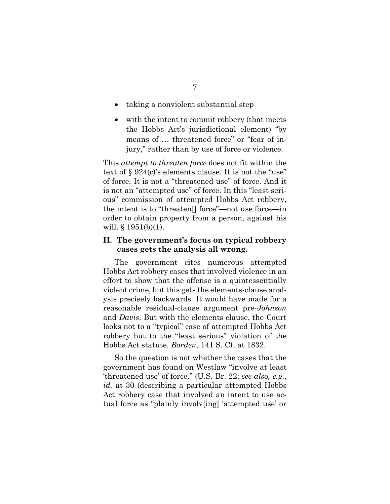- taking a nonviolent substantial step
- with the intent to commit robbery (that meets the Hobbs Act's jurisdictional element) "by means of … threatened force" or "fear of injury," rather than by use of force or violence.

This *attempt to threaten force* does not fit within the text of § 924(c)'s elements clause. It is not the "use" of force. It is not a "threatened use" of force. And it is not an "attempted use" of force. In this "least serious" commission of attempted Hobbs Act robbery, the intent is to "threaten[] force"—not use force—in order to obtain property from a person, against his will.  $§ 1951(b)(1)$ .

### <span id="page-15-1"></span>**II. The government's focus on typical robbery cases gets the analysis all wrong.**

The government cites numerous attempted Hobbs Act robbery cases that involved violence in an effort to show that the offense is a quintessentially violent crime, but this gets the elements-clause analysis precisely backwards. It would have made for a reasonable residual-clause argument pre-*Johnson* and *Davis*. But with the elements clause, the Court looks not to a "typical" case of attempted Hobbs Act robbery but to the "least serious" violation of the Hobbs Act statute. *Borden*, 141 S. Ct. at 1832.

<span id="page-15-0"></span>So the question is not whether the cases that the government has found on Westlaw "involve at least 'threatened use' of force." (U.S. Br. 22; *see also, e.g.*, *id.* at 30 (describing a particular attempted Hobbs Act robbery case that involved an intent to use actual force as "plainly involv[ing] 'attempted use' or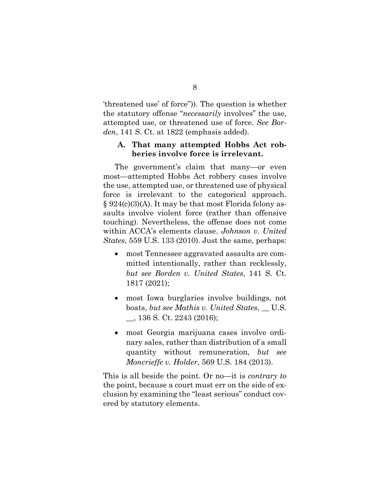'threatened use' of force")). The question is whether the statutory offense "*necessarily* involves" the use, attempted use, or threatened use of force. *See Borden*, 141 S. Ct. at 1822 (emphasis added).

### <span id="page-16-0"></span>**A. That many attempted Hobbs Act robberies involve force is irrelevant.**

<span id="page-16-4"></span>The government's claim that many—or even most—attempted Hobbs Act robbery cases involve the use, attempted use, or threatened use of physical force is irrelevant to the categorical approach.  $\S 924(c)(3)(A)$ . It may be that most Florida felony assaults involve violent force (rather than offensive touching). Nevertheless, the offense does not come within ACCA's elements clause. *Johnson v. United States*, 559 U.S. 133 (2010). Just the same, perhaps:

- <span id="page-16-1"></span>• most Tennessee aggravated assaults are committed intentionally, rather than recklessly, *but see Borden v. United States*, 141 S. Ct. 1817 (2021);
- <span id="page-16-2"></span>• most Iowa burglaries involve buildings, not boats, *but see Mathis v. United States*, \_\_ U.S. \_\_, 136 S. Ct. 2243 (2016);
- <span id="page-16-3"></span>• most Georgia marijuana cases involve ordinary sales, rather than distribution of a small quantity without remuneration, *but see Moncrieffe v. Holder*, 569 U.S. 184 (2013).

This is all beside the point. Or no—it is *contrary to* the point, because a court must err on the side of exclusion by examining the "least serious" conduct covered by statutory elements.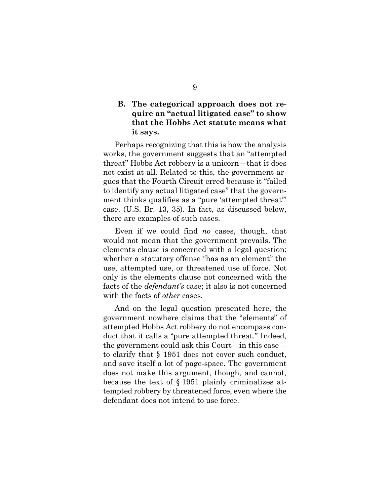# **B. The categorical approach does not require an "actual litigated case" to show that the Hobbs Act statute means what it says.**

Perhaps recognizing that this is how the analysis works, the government suggests that an "attempted threat" Hobbs Act robbery is a unicorn—that it does not exist at all. Related to this, the government argues that the Fourth Circuit erred because it "failed to identify any actual litigated case" that the government thinks qualifies as a "pure 'attempted threat'" case. (U.S. Br. 13, 35). In fact, as discussed below, there are examples of such cases.

Even if we could find *no* cases, though, that would not mean that the government prevails. The elements clause is concerned with a legal question: whether a statutory offense "has as an element" the use, attempted use, or threatened use of force. Not only is the elements clause not concerned with the facts of the *defendant's* case; it also is not concerned with the facts of *other* cases.

And on the legal question presented here, the government nowhere claims that the "elements" of attempted Hobbs Act robbery do not encompass conduct that it calls a "pure attempted threat." Indeed, the government could ask this Court—in this case to clarify that § 1951 does not cover such conduct, and save itself a lot of page-space. The government does not make this argument, though, and cannot, because the text of § 1951 plainly criminalizes attempted robbery by threatened force, even where the defendant does not intend to use force.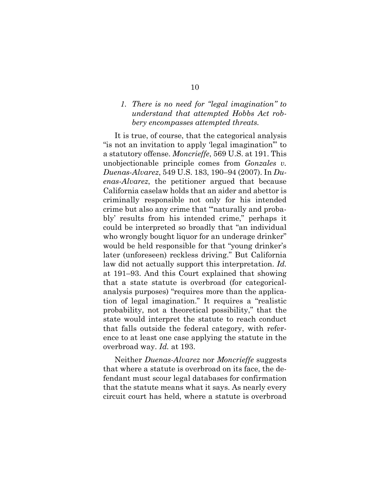## <span id="page-18-1"></span><span id="page-18-0"></span>*1. There is no need for "legal imagination" to understand that attempted Hobbs Act robbery encompasses attempted threats.*

It is true, of course, that the categorical analysis "is not an invitation to apply 'legal imagination'" to a statutory offense. *Moncrieffe*, 569 U.S. at 191. This unobjectionable principle comes from *Gonzales v. Duenas-Alvarez*, 549 U.S. 183, 190–94 (2007). In *Duenas-Alvarez*, the petitioner argued that because California caselaw holds that an aider and abettor is criminally responsible not only for his intended crime but also any crime that "'naturally and probably' results from his intended crime," perhaps it could be interpreted so broadly that "an individual who wrongly bought liquor for an underage drinker" would be held responsible for that "young drinker's later (unforeseen) reckless driving." But California law did not actually support this interpretation. *Id.* at 191–93. And this Court explained that showing that a state statute is overbroad (for categoricalanalysis purposes) "requires more than the application of legal imagination." It requires a "realistic probability, not a theoretical possibility," that the state would interpret the statute to reach conduct that falls outside the federal category, with reference to at least one case applying the statute in the overbroad way. *Id.* at 193.

Neither *Duenas-Alvarez* nor *Moncrieffe* suggests that where a statute is overbroad on its face, the defendant must scour legal databases for confirmation that the statute means what it says. As nearly every circuit court has held, where a statute is overbroad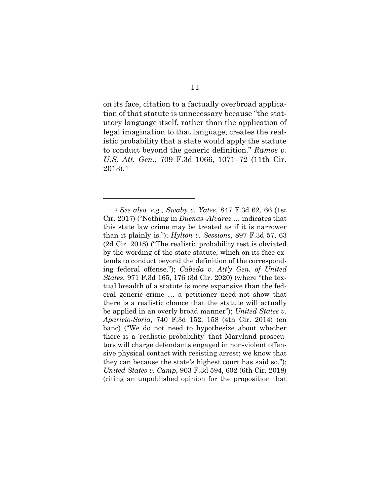on its face, citation to a factually overbroad application of that statute is unnecessary because "the statutory language itself, rather than the application of legal imagination to that language, creates the realistic probability that a state would apply the statute to conduct beyond the generic definition." *Ramos v. U.S. Att. Gen.*, 709 F.3d 1066, 1071–72 (11th Cir. 2013).[4](#page-19-4)

<span id="page-19-4"></span><span id="page-19-3"></span><span id="page-19-2"></span><span id="page-19-1"></span><span id="page-19-0"></span><sup>4</sup> *See also, e.g.*, *Swaby v. Yates*, 847 F.3d 62, 66 (1st Cir. 2017) ("Nothing in *Duenas–Alvarez* … indicates that this state law crime may be treated as if it is narrower than it plainly is."); *Hylton v. Sessions*, 897 F.3d 57, 63 (2d Cir. 2018) ("The realistic probability test is obviated by the wording of the state statute, which on its face extends to conduct beyond the definition of the corresponding federal offense."); *Cabeda v. Att'y Gen. of United States*, 971 F.3d 165, 176 (3d Cir. 2020) (where "the textual breadth of a statute is more expansive than the federal generic crime … a petitioner need not show that there is a realistic chance that the statute will actually be applied in an overly broad manner"); *United States v. Aparicio-Soria*, 740 F.3d 152, 158 (4th Cir. 2014) (en banc) ("We do not need to hypothesize about whether there is a 'realistic probability' that Maryland prosecutors will charge defendants engaged in non-violent offensive physical contact with resisting arrest; we know that they can because the state's highest court has said so."); *United States v. Camp*, 903 F.3d 594, 602 (6th Cir. 2018) (citing an unpublished opinion for the proposition that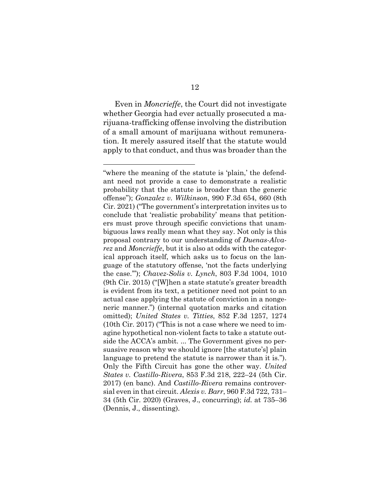Even in *Moncrieffe*, the Court did not investigate whether Georgia had ever actually prosecuted a marijuana-trafficking offense involving the distribution of a small amount of marijuana without remuneration. It merely assured itself that the statute would apply to that conduct, and thus was broader than the

<span id="page-20-4"></span><span id="page-20-3"></span><span id="page-20-2"></span><span id="page-20-1"></span><span id="page-20-0"></span><sup>&</sup>quot;where the meaning of the statute is 'plain,' the defendant need not provide a case to demonstrate a realistic probability that the statute is broader than the generic offense"); *Gonzalez v. Wilkinson*, 990 F.3d 654, 660 (8th Cir. 2021) ("The government's interpretation invites us to conclude that 'realistic probability' means that petitioners must prove through specific convictions that unambiguous laws really mean what they say. Not only is this proposal contrary to our understanding of *Duenas-Alvarez* and *Moncrieffe*, but it is also at odds with the categorical approach itself, which asks us to focus on the language of the statutory offense, 'not the facts underlying the case.'"); *Chavez-Solis v. Lynch*, 803 F.3d 1004, 1010 (9th Cir. 2015) ("[W]hen a state statute's greater breadth is evident from its text, a petitioner need not point to an actual case applying the statute of conviction in a nongeneric manner.") (internal quotation marks and citation omitted); *United States v. Titties*, 852 F.3d 1257, 1274 (10th Cir. 2017) ("This is not a case where we need to imagine hypothetical non-violent facts to take a statute outside the ACCA's ambit. ... The Government gives no persuasive reason why we should ignore [the statute's] plain language to pretend the statute is narrower than it is."). Only the Fifth Circuit has gone the other way. *United States v. Castillo-Rivera*, 853 F.3d 218, 222–24 (5th Cir. 2017) (en banc). And *Castillo-Rivera* remains controversial even in that circuit. *Alexis v. Barr*, 960 F.3d 722, 731– 34 (5th Cir. 2020) (Graves, J., concurring); *id.* at 735–36 (Dennis, J., dissenting).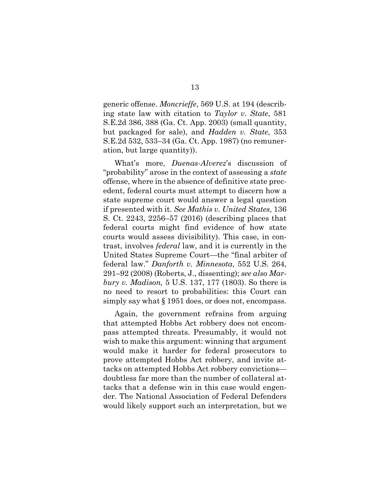<span id="page-21-5"></span><span id="page-21-4"></span><span id="page-21-3"></span>generic offense. *Moncrieffe*, 569 U.S. at 194 (describing state law with citation to *Taylor v. State*, 581 S.E.2d 386, 388 (Ga. Ct. App. 2003) (small quantity, but packaged for sale), and *Hadden v. State*, 353 S.E.2d 532, 533–34 (Ga. Ct. App. 1987) (no remuneration, but large quantity)).

<span id="page-21-2"></span>What's more, *Duenas-Alverez*'s discussion of "probability" arose in the context of assessing a *state* offense, where in the absence of definitive state precedent, federal courts must attempt to discern how a state supreme court would answer a legal question if presented with it. *See Mathis v. United States*, 136 S. Ct. 2243, 2256–57 (2016) (describing places that federal courts might find evidence of how state courts would assess divisibility). This case, in contrast, involves *federal* law, and it is currently in the United States Supreme Court—the "final arbiter of federal law." *Danforth v. Minnesota*, 552 U.S. 264, 291–92 (2008) (Roberts, J., dissenting); *see also Marbury v. Madison,* 5 U.S. 137, 177 (1803). So there is no need to resort to probabilities: this Court can simply say what § 1951 does, or does not, encompass.

<span id="page-21-1"></span><span id="page-21-0"></span>Again, the government refrains from arguing that attempted Hobbs Act robbery does not encompass attempted threats. Presumably, it would not wish to make this argument: winning that argument would make it harder for federal prosecutors to prove attempted Hobbs Act robbery, and invite attacks on attempted Hobbs Act robbery convictions doubtless far more than the number of collateral attacks that a defense win in this case would engender. The National Association of Federal Defenders would likely support such an interpretation, but we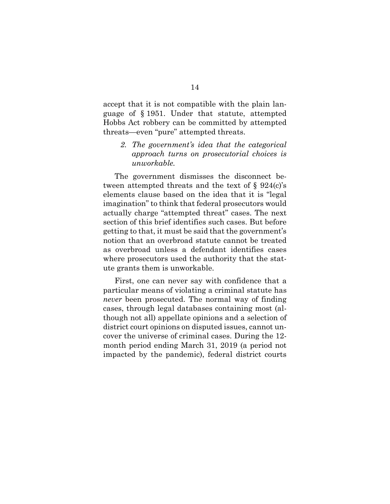accept that it is not compatible with the plain language of § 1951. Under that statute, attempted Hobbs Act robbery can be committed by attempted threats—even "pure" attempted threats.

*2. The government's idea that the categorical approach turns on prosecutorial choices is unworkable.* 

The government dismisses the disconnect between attempted threats and the text of  $\S 924(c)$ 's elements clause based on the idea that it is "legal imagination" to think that federal prosecutors would actually charge "attempted threat" cases. The next section of this brief identifies such cases. But before getting to that, it must be said that the government's notion that an overbroad statute cannot be treated as overbroad unless a defendant identifies cases where prosecutors used the authority that the statute grants them is unworkable.

First, one can never say with confidence that a particular means of violating a criminal statute has *never* been prosecuted. The normal way of finding cases, through legal databases containing most (although not all) appellate opinions and a selection of district court opinions on disputed issues, cannot uncover the universe of criminal cases. During the 12 month period ending March 31, 2019 (a period not impacted by the pandemic), federal district courts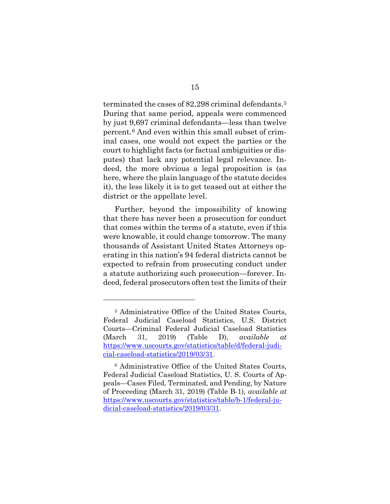terminated the cases of 82,298 criminal defendants.<sup>[5](#page-23-2)</sup> During that same period, appeals were commenced by just 9,697 criminal defendants—less than twelve percent.[6](#page-23-3) And even within this small subset of criminal cases, one would not expect the parties or the court to highlight facts (or factual ambiguities or disputes) that lack any potential legal relevance. Indeed, the more obvious a legal proposition is (as here, where the plain language of the statute decides it), the less likely it is to get teased out at either the district or the appellate level.

Further, beyond the impossibility of knowing that there has never been a prosecution for conduct that comes within the terms of a statute, even if this were knowable, it could change tomorrow. The many thousands of Assistant United States Attorneys operating in this nation's 94 federal districts cannot be expected to refrain from prosecuting conduct under a statute authorizing such prosecution—forever. Indeed, federal prosecutors often test the limits of their

<span id="page-23-2"></span><span id="page-23-0"></span><sup>5</sup> Administrative Office of the United States Courts, Federal Judicial Caseload Statistics, U.S. District Courts—Criminal Federal Judicial Caseload Statistics (March 31, 2019) (Table D), *available at* [https://www.uscourts.gov/statistics/table/d/federal-judi](https://www.uscourts.gov/statistics/table/d/federal-judicial-caseload-statistics/2019/03/31)[cial-caseload-statistics/2019/03/31.](https://www.uscourts.gov/statistics/table/d/federal-judicial-caseload-statistics/2019/03/31)

<span id="page-23-3"></span><span id="page-23-1"></span><sup>6</sup> Administrative Office of the United States Courts, Federal Judicial Caseload Statistics, U. S. Courts of Appeals—Cases Filed, Terminated, and Pending, by Nature of Proceeding (March 31, 2019) (Table B-1), *available at* [https://www.uscourts.gov/statistics/table/b-1/federal-ju](https://www.uscourts.gov/statistics/table/b-1/federal-judicial-caseload-statistics/2019/03/31)[dicial-caseload-statistics/2019/03/31.](https://www.uscourts.gov/statistics/table/b-1/federal-judicial-caseload-statistics/2019/03/31)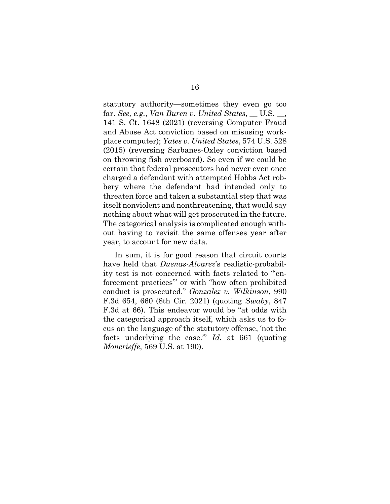<span id="page-24-1"></span><span id="page-24-0"></span>statutory authority—sometimes they even go too far. *See, e.g.*, *Van Buren v. United States*, \_\_ U.S. \_\_, 141 S. Ct. 1648 (2021) (reversing Computer Fraud and Abuse Act conviction based on misusing workplace computer); *Yates v. United States*, 574 U.S. 528 (2015) (reversing Sarbanes-Oxley conviction based on throwing fish overboard). So even if we could be certain that federal prosecutors had never even once charged a defendant with attempted Hobbs Act robbery where the defendant had intended only to threaten force and taken a substantial step that was itself nonviolent and nonthreatening, that would say nothing about what will get prosecuted in the future. The categorical analysis is complicated enough without having to revisit the same offenses year after year, to account for new data.

In sum, it is for good reason that circuit courts have held that *Duenas-Alvarez*'s realistic-probability test is not concerned with facts related to "'enforcement practices'" or with "how often prohibited conduct is prosecuted." *Gonzalez v. Wilkinson*, 990 F.3d 654, 660 (8th Cir. 2021) (quoting *Swaby*, 847 F.3d at 66). This endeavor would be "at odds with the categorical approach itself, which asks us to focus on the language of the statutory offense, 'not the facts underlying the case.'" *Id.* at 661 (quoting *Moncrieffe*, 569 U.S. at 190).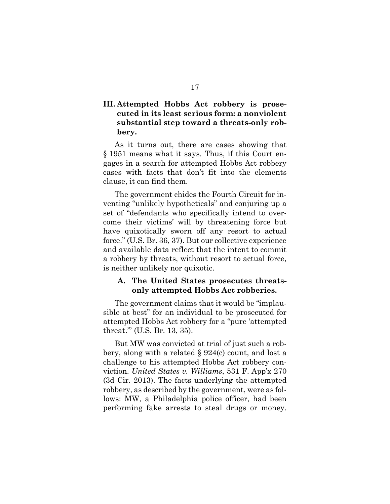# **III. Attempted Hobbs Act robbery is prosecuted in its least serious form: a nonviolent substantial step toward a threats-only robbery.**

As it turns out, there are cases showing that § 1951 means what it says. Thus, if this Court engages in a search for attempted Hobbs Act robbery cases with facts that don't fit into the elements clause, it can find them.

The government chides the Fourth Circuit for inventing "unlikely hypotheticals" and conjuring up a set of "defendants who specifically intend to overcome their victims' will by threatening force but have quixotically sworn off any resort to actual force." (U.S. Br. 36, 37). But our collective experience and available data reflect that the intent to commit a robbery by threats, without resort to actual force, is neither unlikely nor quixotic.

# **A. The United States prosecutes threatsonly attempted Hobbs Act robberies.**

The government claims that it would be "implausible at best" for an individual to be prosecuted for attempted Hobbs Act robbery for a "pure 'attempted threat.'" (U.S. Br. 13, 35).

<span id="page-25-0"></span>But MW was convicted at trial of just such a robbery, along with a related § 924(c) count, and lost a challenge to his attempted Hobbs Act robbery conviction. *United States v. Williams*, 531 F. App'x 270 (3d Cir. 2013). The facts underlying the attempted robbery, as described by the government, were as follows: MW, a Philadelphia police officer, had been performing fake arrests to steal drugs or money.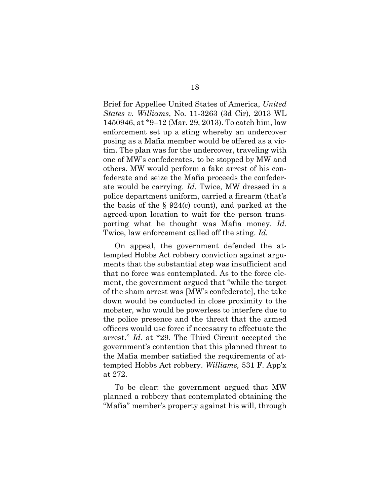Brief for Appellee United States of America, *United States v. Williams*, No. 11-3263 (3d Cir), 2013 WL 1450946, at \*9–12 (Mar. 29, 2013). To catch him, law enforcement set up a sting whereby an undercover posing as a Mafia member would be offered as a victim. The plan was for the undercover, traveling with one of MW's confederates, to be stopped by MW and others. MW would perform a fake arrest of his confederate and seize the Mafia proceeds the confederate would be carrying. *Id.* Twice, MW dressed in a police department uniform, carried a firearm (that's the basis of the  $\S$  924(c) count), and parked at the agreed-upon location to wait for the person transporting what he thought was Mafia money. *Id.*  Twice, law enforcement called off the sting. *Id.*

On appeal, the government defended the attempted Hobbs Act robbery conviction against arguments that the substantial step was insufficient and that no force was contemplated. As to the force element, the government argued that "while the target of the sham arrest was [MW's confederate], the take down would be conducted in close proximity to the mobster, who would be powerless to interfere due to the police presence and the threat that the armed officers would use force if necessary to effectuate the arrest." *Id.* at \*29. The Third Circuit accepted the government's contention that this planned threat to the Mafia member satisfied the requirements of attempted Hobbs Act robbery. *Williams,* 531 F. App'x at 272.

<span id="page-26-0"></span>To be clear: the government argued that MW planned a robbery that contemplated obtaining the "Mafia" member's property against his will, through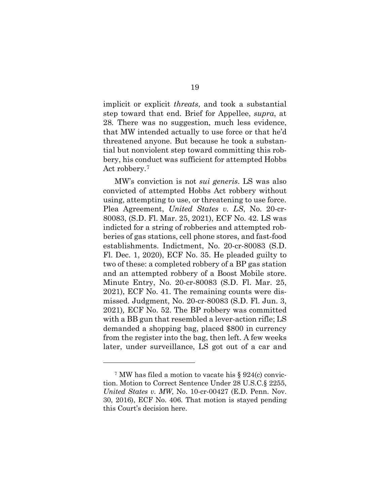implicit or explicit *threats*, and took a substantial step toward that end. Brief for Appellee, *supra*, at 28*.* There was no suggestion, much less evidence, that MW intended actually to use force or that he'd threatened anyone. But because he took a substantial but nonviolent step toward committing this robbery, his conduct was sufficient for attempted Hobbs Act robbery.[7](#page-27-1)

MW's conviction is not *sui generis*. LS was also convicted of attempted Hobbs Act robbery without using, attempting to use, or threatening to use force. Plea Agreement, *United States v. LS*, No. 20-cr-80083, (S.D. Fl. Mar. 25, 2021), ECF No. 42. LS was indicted for a string of robberies and attempted robberies of gas stations, cell phone stores, and fast-food establishments. Indictment, No. 20-cr-80083 (S.D. Fl. Dec. 1, 2020), ECF No. 35. He pleaded guilty to two of these: a completed robbery of a BP gas station and an attempted robbery of a Boost Mobile store. Minute Entry, No. 20-cr-80083 (S.D. Fl. Mar. 25, 2021), ECF No. 41. The remaining counts were dismissed. Judgment, No. 20-cr-80083 (S.D. Fl. Jun. 3, 2021)*,* ECF No. 52. The BP robbery was committed with a BB gun that resembled a lever-action rifle; LS demanded a shopping bag, placed \$800 in currency from the register into the bag, then left. A few weeks later, under surveillance, LS got out of a car and

<span id="page-27-1"></span><span id="page-27-0"></span><sup>7</sup> MW has filed a motion to vacate his § 924(c) conviction. Motion to Correct Sentence Under 28 U.S.C.§ 2255, *United States v. MW*, No. 10-cr-00427 (E.D. Penn. Nov. 30, 2016), ECF No. 406. That motion is stayed pending this Court's decision here.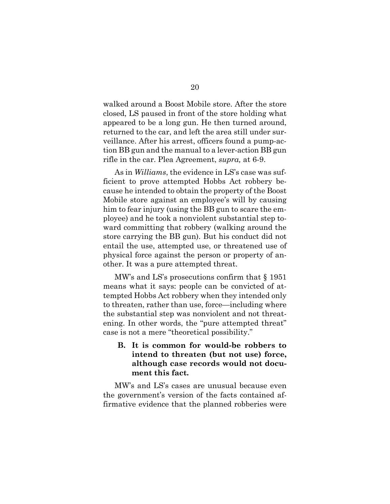walked around a Boost Mobile store. After the store closed, LS paused in front of the store holding what appeared to be a long gun. He then turned around, returned to the car, and left the area still under surveillance. After his arrest, officers found a pump-action BB gun and the manual to a lever-action BB gun rifle in the car. Plea Agreement, *supra,* at 6-9.

As in *Williams*, the evidence in LS's case was sufficient to prove attempted Hobbs Act robbery because he intended to obtain the property of the Boost Mobile store against an employee's will by causing him to fear injury (using the BB gun to scare the employee) and he took a nonviolent substantial step toward committing that robbery (walking around the store carrying the BB gun). But his conduct did not entail the use, attempted use, or threatened use of physical force against the person or property of another. It was a pure attempted threat.

MW's and LS's prosecutions confirm that § 1951 means what it says: people can be convicted of attempted Hobbs Act robbery when they intended only to threaten, rather than use, force—including where the substantial step was nonviolent and not threatening. In other words, the "pure attempted threat" case is not a mere "theoretical possibility."

**B. It is common for would-be robbers to intend to threaten (but not use) force, although case records would not document this fact.**

MW's and LS's cases are unusual because even the government's version of the facts contained affirmative evidence that the planned robberies were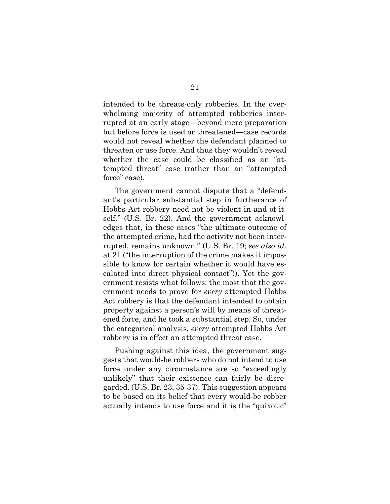intended to be threats-only robberies. In the overwhelming majority of attempted robberies interrupted at an early stage—beyond mere preparation but before force is used or threatened—case records would not reveal whether the defendant planned to threaten or use force. And thus they wouldn't reveal whether the case could be classified as an "attempted threat" case (rather than an "attempted force" case).

The government cannot dispute that a "defendant's particular substantial step in furtherance of Hobbs Act robbery need not be violent in and of itself." (U.S. Br. 22). And the government acknowledges that, in these cases "the ultimate outcome of the attempted crime, had the activity not been interrupted, remains unknown." (U.S. Br. 19; *see also id*. at 21 ("the interruption of the crime makes it impossible to know for certain whether it would have escalated into direct physical contact")). Yet the government resists what follows: the most that the government needs to prove for *every* attempted Hobbs Act robbery is that the defendant intended to obtain property against a person's will by means of threatened force, and he took a substantial step. So, under the categorical analysis, *every* attempted Hobbs Act robbery is in effect an attempted threat case.

Pushing against this idea, the government suggests that would-be robbers who do not intend to use force under any circumstance are so "exceedingly unlikely" that their existence can fairly be disregarded. (U.S. Br. 23, 35-37). This suggestion appears to be based on its belief that every would-be robber actually intends to use force and it is the "quixotic"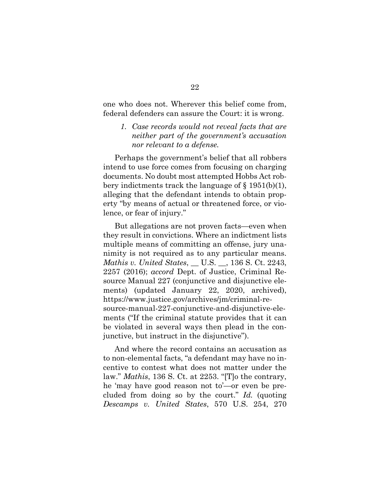one who does not. Wherever this belief come from, federal defenders can assure the Court: it is wrong.

<span id="page-30-1"></span>*1. Case records would not reveal facts that are neither part of the government's accusation nor relevant to a defense.* 

Perhaps the government's belief that all robbers intend to use force comes from focusing on charging documents. No doubt most attempted Hobbs Act robbery indictments track the language of  $\S 1951(b)(1)$ , alleging that the defendant intends to obtain property "by means of actual or threatened force, or violence, or fear of injury."

<span id="page-30-0"></span>But allegations are not proven facts—even when they result in convictions. Where an indictment lists multiple means of committing an offense, jury unanimity is not required as to any particular means. *Mathis v. United States*, \_\_ U.S. \_\_, 136 S. Ct. 2243, 2257 (2016); *accord* Dept. of Justice, Criminal Resource Manual 227 (conjunctive and disjunctive elements) (updated January 22, 2020, archived), https://www.justice.gov/archives/jm/criminal-resource-manual-227-conjunctive-and-disjunctive-elements ("If the criminal statute provides that it can be violated in several ways then plead in the conjunctive, but instruct in the disjunctive").

<span id="page-30-2"></span>And where the record contains an accusation as to non-elemental facts, "a defendant may have no incentive to contest what does not matter under the law." *Mathis*, 136 S. Ct. at 2253. "[T]o the contrary, he 'may have good reason not to'—or even be precluded from doing so by the court." *Id.* (quoting *Descamps v. United States*, 570 U.S. 254, 270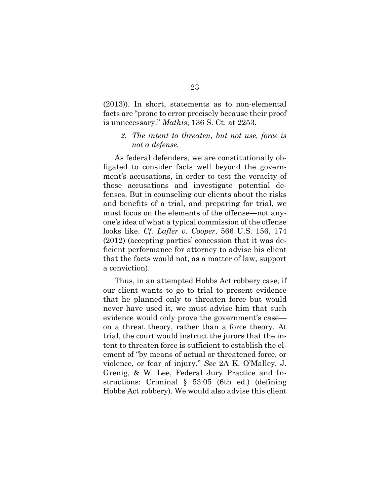(2013)). In short, statements as to non-elemental facts are "prone to error precisely because their proof is unnecessary." *Mathis*, 136 S. Ct. at 2253.

### <span id="page-31-1"></span>*2. The intent to threaten, but not use, force is not a defense.*

As federal defenders, we are constitutionally obligated to consider facts well beyond the government's accusations, in order to test the veracity of those accusations and investigate potential defenses. But in counseling our clients about the risks and benefits of a trial, and preparing for trial, we must focus on the elements of the offense—not anyone's idea of what a typical commission of the offense looks like. *Cf. Lafler v. Cooper*, 566 U.S. 156, 174 (2012) (accepting parties' concession that it was deficient performance for attorney to advise his client that the facts would not, as a matter of law, support a conviction).

<span id="page-31-2"></span><span id="page-31-0"></span>Thus, in an attempted Hobbs Act robbery case, if our client wants to go to trial to present evidence that he planned only to threaten force but would never have used it, we must advise him that such evidence would only prove the government's case on a threat theory, rather than a force theory. At trial, the court would instruct the jurors that the intent to threaten force is sufficient to establish the element of "by means of actual or threatened force, or violence, or fear of injury." *See* 2A K. O'Malley, J. Grenig, & W. Lee, Federal Jury Practice and Instructions: Criminal § 53:05 (6th ed.) (defining Hobbs Act robbery). We would also advise this client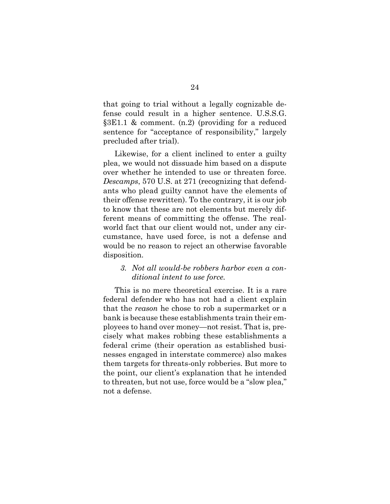<span id="page-32-1"></span>that going to trial without a legally cognizable defense could result in a higher sentence. U.S.S.G. §3E1.1 & comment. (n.2) (providing for a reduced sentence for "acceptance of responsibility," largely precluded after trial).

<span id="page-32-0"></span>Likewise, for a client inclined to enter a guilty plea, we would not dissuade him based on a dispute over whether he intended to use or threaten force. *Descamps*, 570 U.S. at 271 (recognizing that defendants who plead guilty cannot have the elements of their offense rewritten). To the contrary, it is our job to know that these are not elements but merely different means of committing the offense. The realworld fact that our client would not, under any circumstance, have used force, is not a defense and would be no reason to reject an otherwise favorable disposition.

### *3. Not all would-be robbers harbor even a conditional intent to use force.*

This is no mere theoretical exercise. It is a rare federal defender who has not had a client explain that the *reason* he chose to rob a supermarket or a bank is because these establishments train their employees to hand over money—not resist. That is, precisely what makes robbing these establishments a federal crime (their operation as established businesses engaged in interstate commerce) also makes them targets for threats-only robberies. But more to the point, our client's explanation that he intended to threaten, but not use, force would be a "slow plea," not a defense.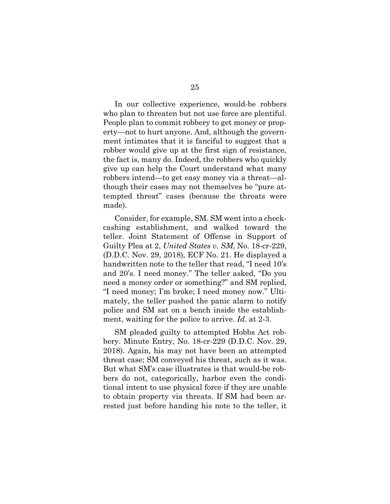In our collective experience, would-be robbers who plan to threaten but not use force are plentiful. People plan to commit robbery to get money or property—not to hurt anyone. And, although the government intimates that it is fanciful to suggest that a robber would give up at the first sign of resistance, the fact is, many do. Indeed, the robbers who quickly give up can help the Court understand what many robbers intend—to get easy money via a threat—although their cases may not themselves be "pure attempted threat" cases (because the threats were made).

Consider, for example, SM. SM went into a checkcashing establishment, and walked toward the teller. Joint Statement of Offense in Support of Guilty Plea at 2, *United States v. SM*, No. 18-cr-229, (D.D.C. Nov. 29, 2018), ECF No. 21. He displayed a handwritten note to the teller that read, "I need 10's and 20's. I need money." The teller asked, "Do you need a money order or something?" and SM replied, "I need money; I'm broke; I need money now." Ultimately, the teller pushed the panic alarm to notify police and SM sat on a bench inside the establishment, waiting for the police to arrive. *Id.* at 2-3.

SM pleaded guilty to attempted Hobbs Act robbery. Minute Entry, No. 18-cr-229 (D.D.C. Nov. 29, 2018). Again, his may not have been an attempted threat case; SM conveyed his threat, such as it was. But what SM's case illustrates is that would-be robbers do not, categorically, harbor even the conditional intent to use physical force if they are unable to obtain property via threats. If SM had been arrested just before handing his note to the teller, it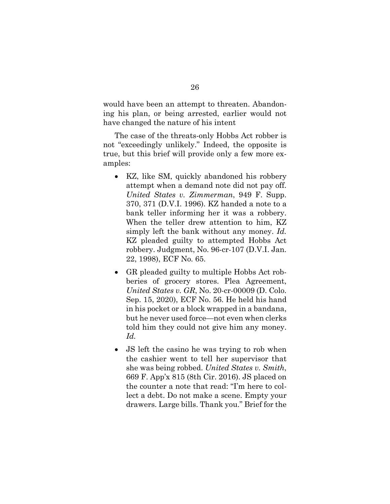would have been an attempt to threaten. Abandoning his plan, or being arrested, earlier would not have changed the nature of his intent

The case of the threats-only Hobbs Act robber is not "exceedingly unlikely." Indeed, the opposite is true, but this brief will provide only a few more examples:

- <span id="page-34-1"></span>• KZ, like SM, quickly abandoned his robbery attempt when a demand note did not pay off. *United States v. Zimmerman*, 949 F. Supp. 370, 371 (D.V.I. 1996). KZ handed a note to a bank teller informing her it was a robbery. When the teller drew attention to him, KZ simply left the bank without any money. *Id.*  KZ pleaded guilty to attempted Hobbs Act robbery. Judgment, No. 96-cr-107 (D.V.I. Jan. 22, 1998), ECF No. 65.
- GR pleaded guilty to multiple Hobbs Act robberies of grocery stores. Plea Agreement, *United States v. GR*, No. 20-cr-00009 (D. Colo. Sep. 15, 2020), ECF No. 56. He held his hand in his pocket or a block wrapped in a bandana, but he never used force—not even when clerks told him they could not give him any money. *Id.*
- <span id="page-34-0"></span>• JS left the casino he was trying to rob when the cashier went to tell her supervisor that she was being robbed. *United States v. Smith*, 669 F. App'x 815 (8th Cir. 2016). JS placed on the counter a note that read: "I'm here to collect a debt. Do not make a scene. Empty your drawers. Large bills. Thank you." Brief for the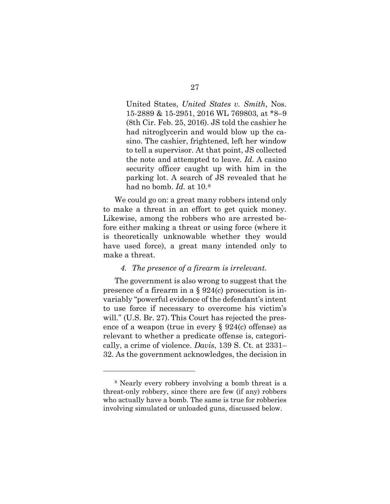United States, *United States v. Smith*, Nos. 15-2889 & 15-2951, 2016 WL 769803, at \*8–9 (8th Cir. Feb. 25, 2016). JS told the cashier he had nitroglycerin and would blow up the casino. The cashier, frightened, left her window to tell a supervisor. At that point, JS collected the note and attempted to leave. *Id.* A casino security officer caught up with him in the parking lot. A search of JS revealed that he had no bomb. *Id.* at 10.[8](#page-35-1)

We could go on: a great many robbers intend only to make a threat in an effort to get quick money. Likewise, among the robbers who are arrested before either making a threat or using force (where it is theoretically unknowable whether they would have used force), a great many intended only to make a threat.

#### *4. The presence of a firearm is irrelevant.*

The government is also wrong to suggest that the presence of a firearm in a § 924(c) prosecution is invariably "powerful evidence of the defendant's intent to use force if necessary to overcome his victim's will." (U.S. Br. 27). This Court has rejected the presence of a weapon (true in every  $\S 924(c)$  offense) as relevant to whether a predicate offense is, categorically, a crime of violence. *Davis*, 139 S. Ct. at 2331– 32. As the government acknowledges, the decision in

<span id="page-35-1"></span><span id="page-35-0"></span><sup>8</sup> Nearly every robbery involving a bomb threat is a threat-only robbery, since there are few (if any) robbers who actually have a bomb. The same is true for robberies involving simulated or unloaded guns, discussed below.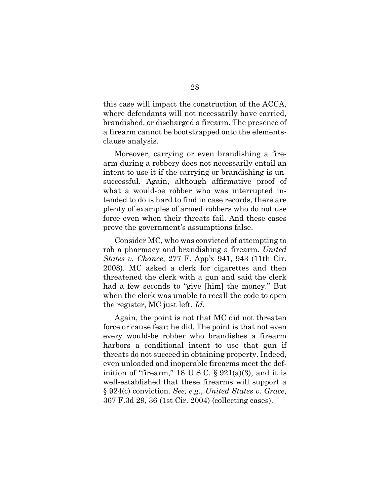this case will impact the construction of the ACCA, where defendants will not necessarily have carried, brandished, or discharged a firearm. The presence of a firearm cannot be bootstrapped onto the elementsclause analysis.

Moreover, carrying or even brandishing a firearm during a robbery does not necessarily entail an intent to use it if the carrying or brandishing is unsuccessful. Again, although affirmative proof of what a would-be robber who was interrupted intended to do is hard to find in case records, there are plenty of examples of armed robbers who do not use force even when their threats fail. And these cases prove the government's assumptions false.

<span id="page-36-0"></span>Consider MC, who was convicted of attempting to rob a pharmacy and brandishing a firearm. *United States v. Chance*, 277 F. App'x 941, 943 (11th Cir. 2008). MC asked a clerk for cigarettes and then threatened the clerk with a gun and said the clerk had a few seconds to "give [him] the money." But when the clerk was unable to recall the code to open the register, MC just left. *Id.*

<span id="page-36-2"></span><span id="page-36-1"></span>Again, the point is not that MC did not threaten force or cause fear: he did. The point is that not even every would-be robber who brandishes a firearm harbors a conditional intent to use that gun if threats do not succeed in obtaining property. Indeed, even unloaded and inoperable firearms meet the definition of "firearm," 18 U.S.C.  $\S 921(a)(3)$ , and it is well-established that these firearms will support a § 924(c) conviction. *See, e.g.*, *United States v. Grace*, 367 F.3d 29, 36 (1st Cir. 2004) (collecting cases).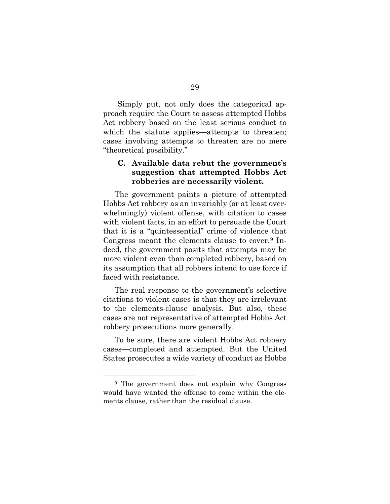Simply put, not only does the categorical approach require the Court to assess attempted Hobbs Act robbery based on the least serious conduct to which the statute applies—attempts to threaten; cases involving attempts to threaten are no mere "theoretical possibility."

# **C. Available data rebut the government's suggestion that attempted Hobbs Act robberies are necessarily violent.**

The government paints a picture of attempted Hobbs Act robbery as an invariably (or at least overwhelmingly) violent offense, with citation to cases with violent facts, in an effort to persuade the Court that it is a "quintessential" crime of violence that Congress meant the elements clause to cover.[9](#page-37-0) Indeed, the government posits that attempts may be more violent even than completed robbery, based on its assumption that all robbers intend to use force if faced with resistance.

The real response to the government's selective citations to violent cases is that they are irrelevant to the elements-clause analysis. But also, these cases are not representative of attempted Hobbs Act robbery prosecutions more generally.

To be sure, there are violent Hobbs Act robbery cases—completed and attempted. But the United States prosecutes a wide variety of conduct as Hobbs

<span id="page-37-0"></span><sup>9</sup> The government does not explain why Congress would have wanted the offense to come within the elements clause, rather than the residual clause.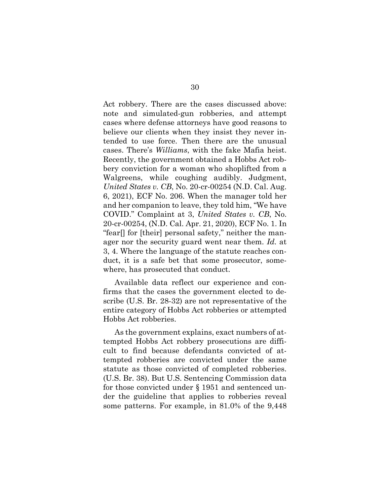Act robbery. There are the cases discussed above: note and simulated-gun robberies, and attempt cases where defense attorneys have good reasons to believe our clients when they insist they never intended to use force. Then there are the unusual cases. There's *Williams*, with the fake Mafia heist. Recently, the government obtained a Hobbs Act robbery conviction for a woman who shoplifted from a Walgreens, while coughing audibly. Judgment, *United States v. CB*, No. 20-cr-00254 (N.D. Cal. Aug. 6, 2021), ECF No. 206. When the manager told her and her companion to leave, they told him, "We have COVID." Complaint at 3, *United States v. CB*, No. 20-cr-00254, (N.D. Cal. Apr. 21, 2020), ECF No. 1. In "fear[] for [their] personal safety," neither the manager nor the security guard went near them. *Id.* at 3, 4. Where the language of the statute reaches conduct, it is a safe bet that some prosecutor, somewhere, has prosecuted that conduct.

Available data reflect our experience and confirms that the cases the government elected to describe (U.S. Br. 28-32) are not representative of the entire category of Hobbs Act robberies or attempted Hobbs Act robberies.

As the government explains, exact numbers of attempted Hobbs Act robbery prosecutions are difficult to find because defendants convicted of attempted robberies are convicted under the same statute as those convicted of completed robberies. (U.S. Br. 38). But U.S. Sentencing Commission data for those convicted under § 1951 and sentenced under the guideline that applies to robberies reveal some patterns. For example, in 81.0% of the 9,448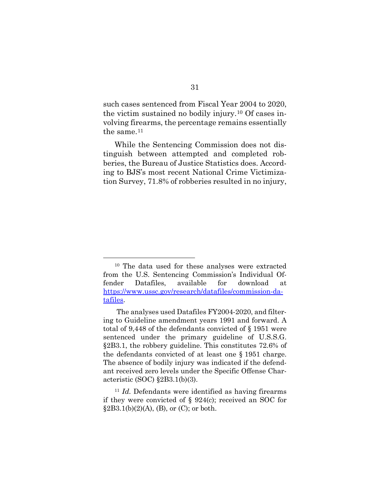such cases sentenced from Fiscal Year 2004 to 2020, the victim sustained no bodily injury.[10](#page-39-1) Of cases involving firearms, the percentage remains essentially the same.<sup>[11](#page-39-2)</sup>

While the Sentencing Commission does not distinguish between attempted and completed robberies, the Bureau of Justice Statistics does. According to BJS's most recent National Crime Victimization Survey, 71.8% of robberies resulted in no injury,

<span id="page-39-1"></span><sup>10</sup> The data used for these analyses were extracted from the U.S. Sentencing Commission's Individual Offender Datafiles, available for download at [https://www.ussc.gov/research/datafiles/commission-da](https://www.ussc.gov/research/datafiles/commission-datafiles)[tafiles.](https://www.ussc.gov/research/datafiles/commission-datafiles)

<span id="page-39-0"></span>The analyses used Datafiles FY2004-2020, and filtering to Guideline amendment years 1991 and forward. A total of 9,448 of the defendants convicted of § 1951 were sentenced under the primary guideline of U.S.S.G. §2B3.1, the robbery guideline. This constitutes 72.6% of the defendants convicted of at least one § 1951 charge. The absence of bodily injury was indicated if the defendant received zero levels under the Specific Offense Characteristic (SOC) §2B3.1(b)(3).

<span id="page-39-2"></span><sup>11</sup> *Id.* Defendants were identified as having firearms if they were convicted of § 924(c); received an SOC for  $§2B3.1(b)(2)(A), (B), or (C); or both.$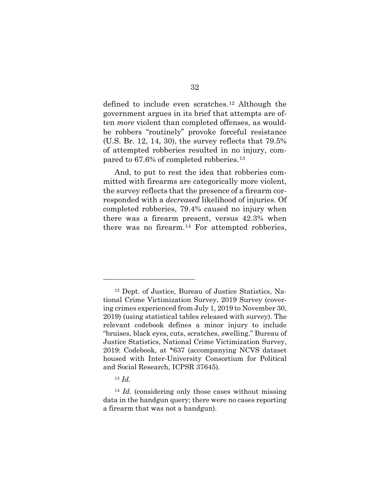defined to include even scratches.[12](#page-40-0) Although the government argues in its brief that attempts are often *more* violent than completed offenses, as wouldbe robbers "routinely" provoke forceful resistance (U.S. Br. 12, 14, 30), the survey reflects that 79.5% of attempted robberies resulted in no injury, compared to 67.6% of completed robberies.[13](#page-40-1)

And, to put to rest the idea that robberies committed with firearms are categorically more violent, the survey reflects that the presence of a firearm corresponded with a *decreased* likelihood of injuries. Of completed robberies, 79.4% caused no injury when there was a firearm present, versus 42.3% when there was no firearm.[14](#page-40-2) For attempted robberies,

<sup>13</sup> *Id.*

<span id="page-40-0"></span><sup>12</sup> Dept. of Justice, Bureau of Justice Statistics, National Crime Victimization Survey, 2019 Survey (covering crimes experienced from July 1, 2019 to November 30, 2019) (using statistical tables released with survey). The relevant codebook defines a minor injury to include "bruises, black eyes, cuts, scratches, swelling." Bureau of Justice Statistics, National Crime Victimization Survey, 2019: Codebook, at \*637 (accompanying NCVS dataset housed with Inter-University Consortium for Political and Social Research, ICPSR 37645).

<span id="page-40-2"></span><span id="page-40-1"></span><sup>14</sup> *Id*. (considering only those cases without missing data in the handgun query; there were no cases reporting a firearm that was not a handgun).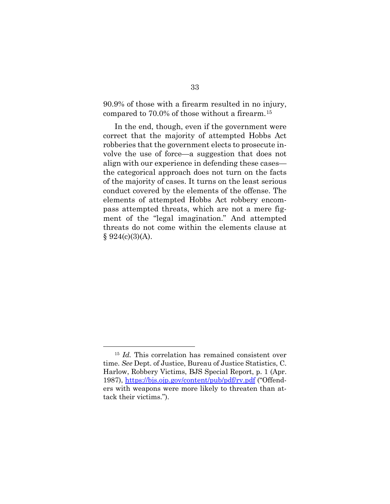90.9% of those with a firearm resulted in no injury, compared to 70.0% of those without a firearm.[15](#page-41-2)

<span id="page-41-0"></span>In the end, though, even if the government were correct that the majority of attempted Hobbs Act robberies that the government elects to prosecute involve the use of force—a suggestion that does not align with our experience in defending these cases the categorical approach does not turn on the facts of the majority of cases. It turns on the least serious conduct covered by the elements of the offense. The elements of attempted Hobbs Act robbery encompass attempted threats, which are not a mere figment of the "legal imagination." And attempted threats do not come within the elements clause at  $§ 924(c)(3)(A).$ 

<span id="page-41-2"></span><span id="page-41-1"></span><sup>15</sup> *Id.* This correlation has remained consistent over time. *See* Dept. of Justice, Bureau of Justice Statistics, C. Harlow, Robbery Victims, BJS Special Report, p. 1 (Apr. 1987),<https://bjs.ojp.gov/content/pub/pdf/rv.pdf> ("Offenders with weapons were more likely to threaten than attack their victims.").